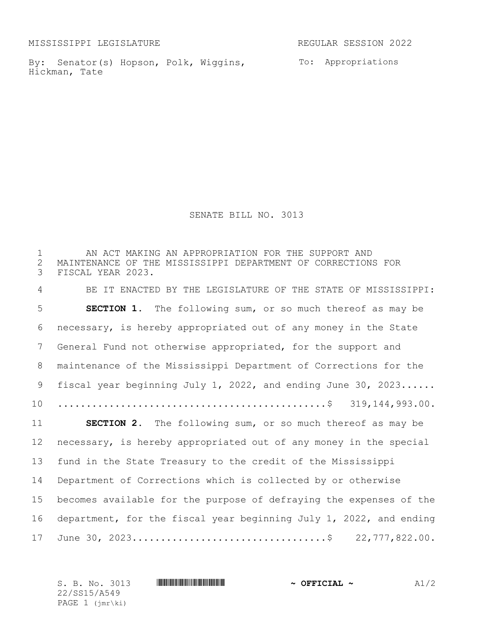MISSISSIPPI LEGISLATURE REGULAR SESSION 2022

By: Senator(s) Hopson, Polk, Wiggins, To: Appropriations Hickman, Tate

SENATE BILL NO. 3013

1 THE AN ACT MAKING AN APPROPRIATION FOR THE SUPPORT AND<br>2 MAINTENANCE OF THE MISSISSIPPI DEPARTMENT OF CORRECTION: 2 MAINTENANCE OF THE MISSISSIPPI DEPARTMENT OF CORRECTIONS FOR<br>3 FISCAL YEAR 2023. FISCAL YEAR 2023. BE IT ENACTED BY THE LEGISLATURE OF THE STATE OF MISSISSIPPI: **SECTION 1.** The following sum, or so much thereof as may be necessary, is hereby appropriated out of any money in the State General Fund not otherwise appropriated, for the support and maintenance of the Mississippi Department of Corrections for the 9 fiscal year beginning July 1, 2022, and ending June 30, 2023...... ...............................................\$ 319,144,993.00. **SECTION 2.** The following sum, or so much thereof as may be necessary, is hereby appropriated out of any money in the special fund in the State Treasury to the credit of the Mississippi Department of Corrections which is collected by or otherwise becomes available for the purpose of defraying the expenses of the department, for the fiscal year beginning July 1, 2022, and ending June 30, 2023..................................\$ 22,777,822.00.

S. B. No. 3013 **\*\*\* And \*\*\*\* The \*\*\*\* \*\*\* \*\*\* And \*\*\*** A5449 **A1/2** 22/SS15/A549 PAGE 1 (jmr\ki)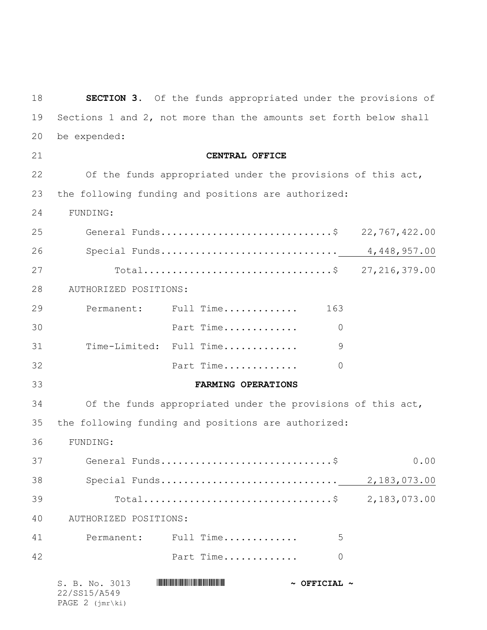| 18 |                                                                   | <b>SECTION 3.</b> Of the funds appropriated under the provisions of |               |  |
|----|-------------------------------------------------------------------|---------------------------------------------------------------------|---------------|--|
| 19 | Sections 1 and 2, not more than the amounts set forth below shall |                                                                     |               |  |
| 20 | be expended:                                                      |                                                                     |               |  |
| 21 |                                                                   | CENTRAL OFFICE                                                      |               |  |
| 22 |                                                                   | Of the funds appropriated under the provisions of this act,         |               |  |
| 23 |                                                                   | the following funding and positions are authorized:                 |               |  |
| 24 | FUNDING:                                                          |                                                                     |               |  |
| 25 |                                                                   | General Funds\$                                                     | 22,767,422.00 |  |
| 26 |                                                                   |                                                                     |               |  |
| 27 |                                                                   | Total\$ 27,216,379.00                                               |               |  |
| 28 | AUTHORIZED POSITIONS:                                             |                                                                     |               |  |
| 29 |                                                                   | Permanent: Full Time<br>163                                         |               |  |
| 30 |                                                                   | Part Time<br>$\Omega$                                               |               |  |
| 31 |                                                                   | Time-Limited: Full Time<br>9                                        |               |  |
| 32 |                                                                   | Part Time<br>0                                                      |               |  |
| 33 |                                                                   | FARMING OPERATIONS                                                  |               |  |
| 34 |                                                                   | Of the funds appropriated under the provisions of this act,         |               |  |
| 35 |                                                                   | the following funding and positions are authorized:                 |               |  |
| 36 | FUNDING:                                                          |                                                                     |               |  |
| 37 |                                                                   |                                                                     | 0.00          |  |
| 38 |                                                                   |                                                                     |               |  |
| 39 |                                                                   | Total\$ 2,183,073.00                                                |               |  |
| 40 | AUTHORIZED POSITIONS:                                             |                                                                     |               |  |
| 41 |                                                                   | Permanent: Full Time<br>5                                           |               |  |
| 42 |                                                                   | Part Time<br>0                                                      |               |  |
|    | S. B. No. 3013<br>22/SS15/A549                                    | $\sim$ OFFICIAL $\sim$                                              |               |  |

PAGE 2 (jmr\ki)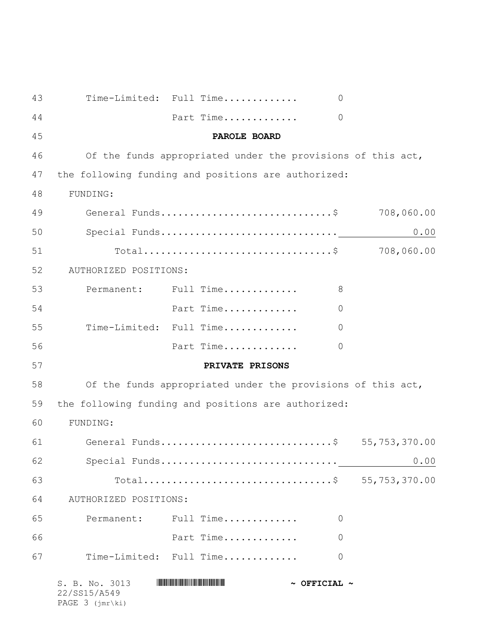| 43 | Time-Limited: Full Time                                     |                       | $\Omega$               |            |
|----|-------------------------------------------------------------|-----------------------|------------------------|------------|
| 44 |                                                             | Part Time             | $\overline{0}$         |            |
| 45 |                                                             | PAROLE BOARD          |                        |            |
| 46 | Of the funds appropriated under the provisions of this act, |                       |                        |            |
| 47 | the following funding and positions are authorized:         |                       |                        |            |
| 48 | FUNDING:                                                    |                       |                        |            |
| 49 | General Funds\$                                             |                       |                        | 708,060.00 |
| 50 |                                                             |                       |                        | 0.00       |
| 51 |                                                             |                       |                        | 708,060.00 |
| 52 | AUTHORIZED POSITIONS:                                       |                       |                        |            |
| 53 | Permanent: Full Time                                        |                       | 8                      |            |
| 54 |                                                             | Part Time             | $\overline{0}$         |            |
| 55 | Time-Limited: Full Time                                     |                       | $\overline{0}$         |            |
| 56 |                                                             | Part Time             | $\overline{0}$         |            |
| 57 |                                                             | PRIVATE PRISONS       |                        |            |
| 58 | Of the funds appropriated under the provisions of this act, |                       |                        |            |
| 59 | the following funding and positions are authorized:         |                       |                        |            |
| 60 | FUNDING:                                                    |                       |                        |            |
| 61 | General Funds\$ 55,753,370.00                               |                       |                        |            |
| 62 |                                                             |                       |                        | 0.00       |
| 63 |                                                             | Total\$ 55,753,370.00 |                        |            |
| 64 | AUTHORIZED POSITIONS:                                       |                       |                        |            |
| 65 | Permanent: Full Time                                        |                       | 0                      |            |
| 66 |                                                             | Part Time             | $\overline{0}$         |            |
| 67 | Time-Limited: Full Time                                     |                       | 0                      |            |
|    | S. B. No. 3013<br>22/SS15/A549                              |                       | $\sim$ OFFICIAL $\sim$ |            |

PAGE 3 (jmr\ki)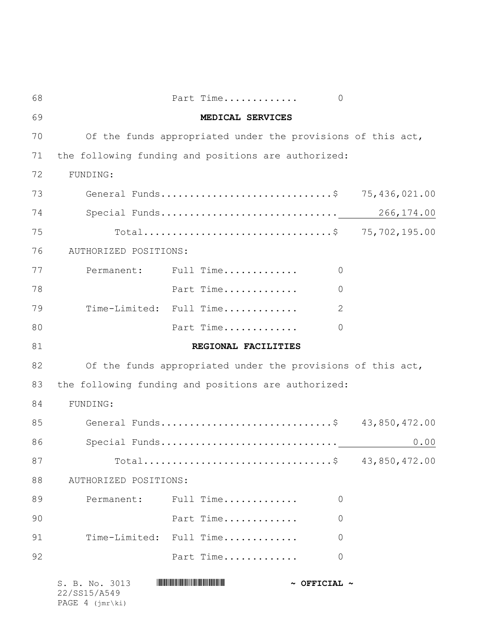| 68 |                                | Part Time                                                   | $\circ$                |               |
|----|--------------------------------|-------------------------------------------------------------|------------------------|---------------|
| 69 | MEDICAL SERVICES               |                                                             |                        |               |
| 70 |                                | Of the funds appropriated under the provisions of this act, |                        |               |
| 71 |                                | the following funding and positions are authorized:         |                        |               |
| 72 | FUNDING:                       |                                                             |                        |               |
| 73 |                                |                                                             |                        | 75,436,021.00 |
| 74 |                                |                                                             |                        |               |
| 75 |                                | Total\$ 75,702,195.00                                       |                        |               |
| 76 | AUTHORIZED POSITIONS:          |                                                             |                        |               |
| 77 |                                | Permanent: Full Time                                        | 0                      |               |
| 78 |                                | Part Time                                                   | 0                      |               |
| 79 |                                | Time-Limited: Full Time                                     | 2                      |               |
| 80 |                                | Part Time                                                   | 0                      |               |
| 81 |                                | REGIONAL FACILITIES                                         |                        |               |
| 82 |                                | Of the funds appropriated under the provisions of this act, |                        |               |
| 83 |                                | the following funding and positions are authorized:         |                        |               |
| 84 | FUNDING:                       |                                                             |                        |               |
| 85 |                                | General Funds\$ 43,850,472.00                               |                        |               |
| 86 |                                | Special Funds                                               |                        | 0.00          |
| 87 |                                |                                                             |                        | 43,850,472.00 |
| 88 | AUTHORIZED POSITIONS:          |                                                             |                        |               |
| 89 |                                | Permanent: Full Time                                        | $\Omega$               |               |
| 90 |                                | Part Time                                                   | 0                      |               |
| 91 |                                | Time-Limited: Full Time                                     | 0                      |               |
| 92 |                                | Part Time                                                   | 0                      |               |
|    | S. B. No. 3013<br>22/SS15/A549 |                                                             | $\sim$ OFFICIAL $\sim$ |               |

PAGE 4 (jmr\ki)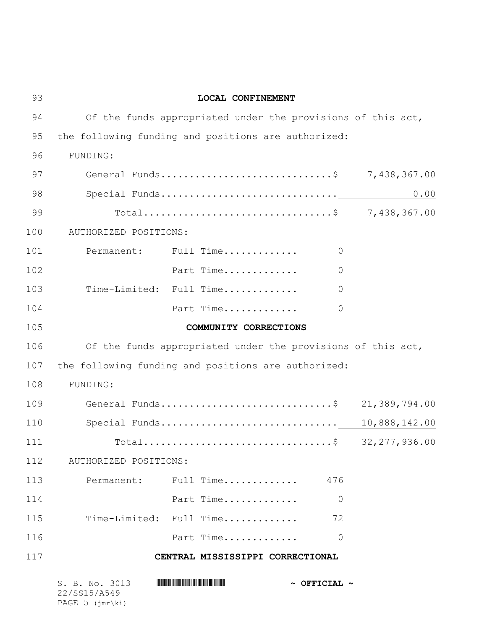| 93  | LOCAL CONFINEMENT                                           |  |
|-----|-------------------------------------------------------------|--|
| 94  | Of the funds appropriated under the provisions of this act, |  |
| 95  | the following funding and positions are authorized:         |  |
| 96  | FUNDING:                                                    |  |
| 97  | General Funds\$ 7,438,367.00                                |  |
| 98  | 0.00                                                        |  |
| 99  | Total\$ 7,438,367.00                                        |  |
| 100 | AUTHORIZED POSITIONS:                                       |  |
| 101 | Permanent: Full Time<br>$\circ$                             |  |
| 102 | Part Time<br>$\overline{0}$                                 |  |
| 103 | Time-Limited: Full Time<br>$\overline{0}$                   |  |
| 104 | Part Time<br>$\overline{0}$                                 |  |
| 105 | COMMUNITY CORRECTIONS                                       |  |
| 106 | Of the funds appropriated under the provisions of this act, |  |
| 107 | the following funding and positions are authorized:         |  |
| 108 | FUNDING:                                                    |  |
| 109 | General Funds\$ 21,389,794.00                               |  |
| 110 |                                                             |  |
| 111 | Total\$ 32,277,936.00                                       |  |
| 112 | AUTHORIZED POSITIONS:                                       |  |
| 113 | Permanent: Full Time 476                                    |  |
| 114 | Part Time<br>$\overline{0}$                                 |  |
| 115 | Time-Limited: Full Time<br>72                               |  |
| 116 | Part Time<br>$\overline{0}$                                 |  |
| 117 | CENTRAL MISSISSIPPI CORRECTIONAL                            |  |
|     | S. B. No. 3013<br>$\sim$ OFFICIAL $\sim$<br>22/SS15/A549    |  |

PAGE 5 (jmr\ki)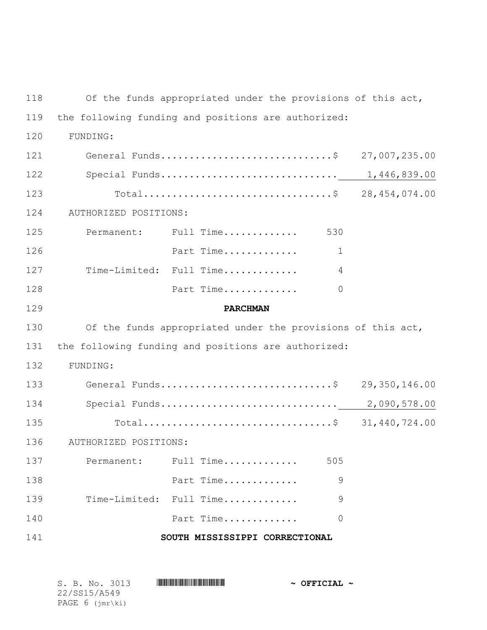Of the funds appropriated under the provisions of this act, the following funding and positions are authorized: 120 FUNDING: 121 General Funds................................\$ 27,007,235.00 Special Funds............................... 1,446,839.00 Total.................................\$ 28,454,074.00 124 AUTHORIZED POSITIONS: Permanent: Full Time............. 530 Part Time............. 1 Time-Limited: Full Time............. 4 Part Time............. 0 **PARCHMAN** Of the funds appropriated under the provisions of this act, the following funding and positions are authorized: 132 FUNDING: 133 General Funds.................................\$ 29,350,146.00 Special Funds............................... 2,090,578.00 135 Total...................................\$ 31,440,724.00 136 AUTHORIZED POSITIONS: Permanent: Full Time............. 505 Part Time............. 9 Time-Limited: Full Time............. 9 **Part Time.............** 0 **SOUTH MISSISSIPPI CORRECTIONAL**

| S. B. No. 3013               |  |  | $\sim$ OFFICIAL $\sim$ |
|------------------------------|--|--|------------------------|
| 22/SS15/A549                 |  |  |                        |
| PAGE $6$ ( $\text{imr}\$ ki) |  |  |                        |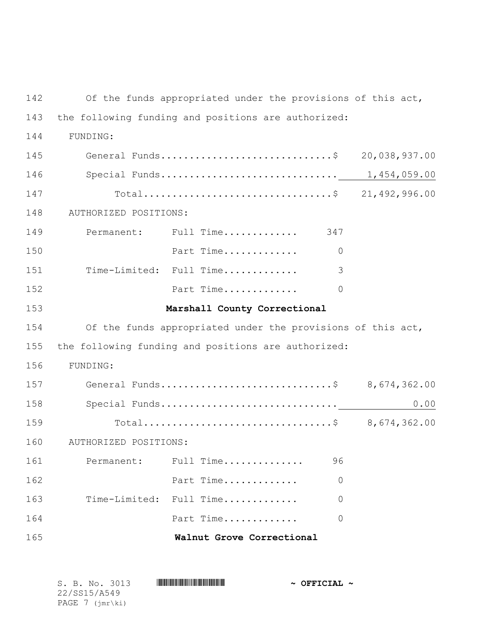142 Of the funds appropriated under the provisions of this act, the following funding and positions are authorized: 144 FUNDING: 145 General Funds................................\$ 20,038,937.00 Special Funds............................... 1,454,059.00 Total.................................\$ 21,492,996.00 148 AUTHORIZED POSITIONS: Permanent: Full Time............. 347 Part Time............. 0 Time-Limited: Full Time............. 3 Part Time............. 0 **Marshall County Correctional** Of the funds appropriated under the provisions of this act, the following funding and positions are authorized: 156 FUNDING: General Funds..............................\$ 8,674,362.00 Special Funds............................... 0.00 Total.................................\$ 8,674,362.00 160 AUTHORIZED POSITIONS: Permanent: Full Time.............. 96 Part Time............. 0 Time-Limited: Full Time............. 0 Part Time............. 0 **Walnut Grove Correctional**

| S. B. No. 3013             | $\sim$ OFFICIAL $\sim$ |
|----------------------------|------------------------|
| 22/SS15/A549               |                        |
| PAGE $7$ ( $\text{imr}\$ ) |                        |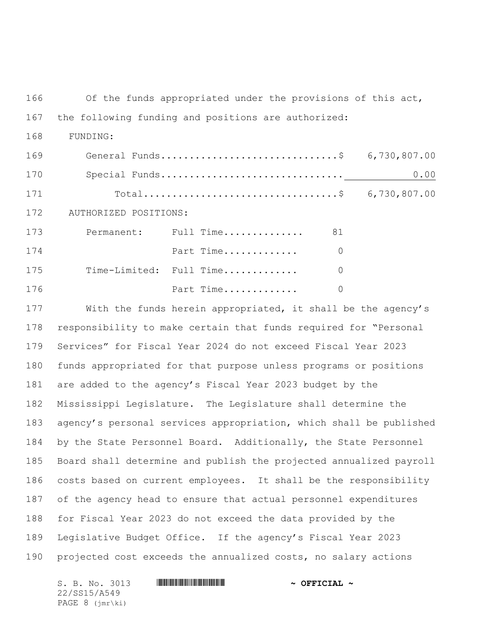Of the funds appropriated under the provisions of this act,

## the following funding and positions are authorized:

168 FUNDING:

| 169 |                       | General Funds\$ 6,730,807.00 |          |      |
|-----|-----------------------|------------------------------|----------|------|
| 170 |                       |                              |          | 0.00 |
| 171 |                       | Total\$ 6,730,807.00         |          |      |
| 172 | AUTHORIZED POSITIONS: |                              |          |      |
| 173 |                       | Permanent: Full Time         | 81       |      |
| 174 |                       | Part Time                    | 0        |      |
| 175 |                       | Time-Limited: Full Time      | $\Omega$ |      |
| 176 |                       | Part Time                    | 0        |      |

 With the funds herein appropriated, it shall be the agency's responsibility to make certain that funds required for "Personal Services" for Fiscal Year 2024 do not exceed Fiscal Year 2023 funds appropriated for that purpose unless programs or positions are added to the agency's Fiscal Year 2023 budget by the Mississippi Legislature. The Legislature shall determine the agency's personal services appropriation, which shall be published by the State Personnel Board. Additionally, the State Personnel Board shall determine and publish the projected annualized payroll costs based on current employees. It shall be the responsibility of the agency head to ensure that actual personnel expenditures for Fiscal Year 2023 do not exceed the data provided by the Legislative Budget Office. If the agency's Fiscal Year 2023 projected cost exceeds the annualized costs, no salary actions

S. B. No. 3013 \*SS15/A549\* **~ OFFICIAL ~** 22/SS15/A549 PAGE 8 (jmr\ki)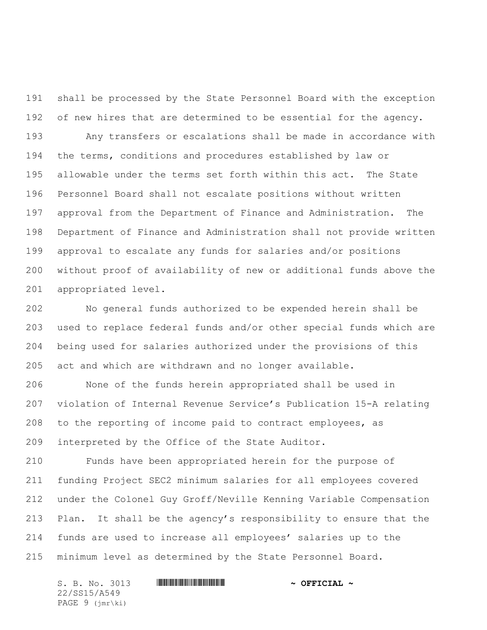shall be processed by the State Personnel Board with the exception of new hires that are determined to be essential for the agency.

 Any transfers or escalations shall be made in accordance with the terms, conditions and procedures established by law or allowable under the terms set forth within this act. The State Personnel Board shall not escalate positions without written approval from the Department of Finance and Administration. The Department of Finance and Administration shall not provide written approval to escalate any funds for salaries and/or positions without proof of availability of new or additional funds above the appropriated level.

 No general funds authorized to be expended herein shall be used to replace federal funds and/or other special funds which are being used for salaries authorized under the provisions of this act and which are withdrawn and no longer available.

 None of the funds herein appropriated shall be used in violation of Internal Revenue Service's Publication 15-A relating to the reporting of income paid to contract employees, as interpreted by the Office of the State Auditor.

 Funds have been appropriated herein for the purpose of funding Project SEC2 minimum salaries for all employees covered under the Colonel Guy Groff/Neville Kenning Variable Compensation Plan. It shall be the agency's responsibility to ensure that the funds are used to increase all employees' salaries up to the minimum level as determined by the State Personnel Board.

S. B. No. 3013 \*SS15/A549\* **~ OFFICIAL ~** 22/SS15/A549 PAGE 9 (jmr\ki)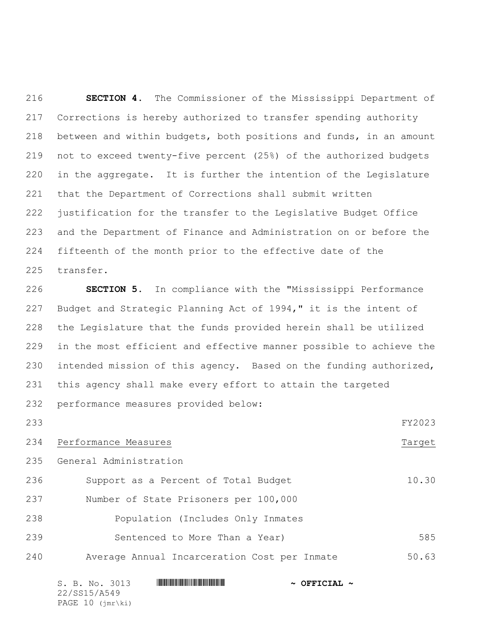**SECTION 4.** The Commissioner of the Mississippi Department of Corrections is hereby authorized to transfer spending authority between and within budgets, both positions and funds, in an amount not to exceed twenty-five percent (25%) of the authorized budgets in the aggregate. It is further the intention of the Legislature that the Department of Corrections shall submit written justification for the transfer to the Legislative Budget Office and the Department of Finance and Administration on or before the fifteenth of the month prior to the effective date of the transfer.

 **SECTION 5.** In compliance with the "Mississippi Performance Budget and Strategic Planning Act of 1994," it is the intent of the Legislature that the funds provided herein shall be utilized in the most efficient and effective manner possible to achieve the intended mission of this agency. Based on the funding authorized, this agency shall make every effort to attain the targeted performance measures provided below:

FY2023

- 234 Performance Measures Target
	- General Administration

| 236 | Support as a Percent of Total Budget  | 10.30 |
|-----|---------------------------------------|-------|
| 237 | Number of State Prisoners per 100,000 |       |
| 238 | Population (Includes Only Inmates     |       |

- 239 Sentenced to More Than a Year) 585
- Average Annual Incarceration Cost per Inmate 50.63

S. B. No. 3013 \*SS15/A549\* **~ OFFICIAL ~** 22/SS15/A549 PAGE 10 (jmr\ki)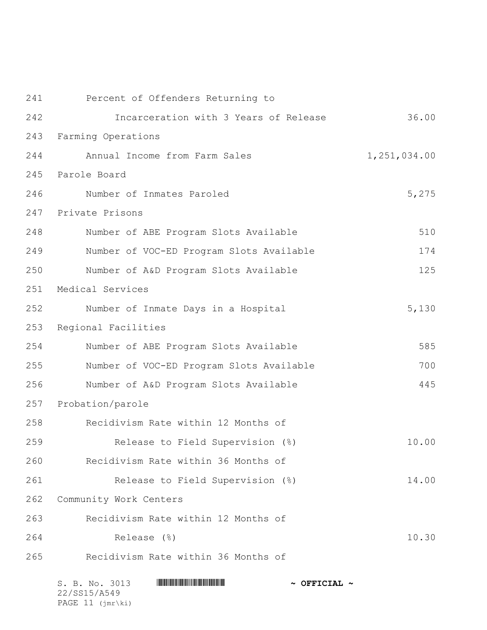| 241 | Percent of Offenders Returning to        |              |
|-----|------------------------------------------|--------------|
| 242 | Incarceration with 3 Years of Release    | 36.00        |
| 243 | Farming Operations                       |              |
| 244 | Annual Income from Farm Sales            | 1,251,034.00 |
| 245 | Parole Board                             |              |
| 246 | Number of Inmates Paroled                | 5,275        |
| 247 | Private Prisons                          |              |
| 248 | Number of ABE Program Slots Available    | 510          |
| 249 | Number of VOC-ED Program Slots Available | 174          |
| 250 | Number of A&D Program Slots Available    | 125          |
| 251 | Medical Services                         |              |
| 252 | Number of Inmate Days in a Hospital      | 5,130        |
| 253 | Regional Facilities                      |              |
| 254 | Number of ABE Program Slots Available    | 585          |
| 255 | Number of VOC-ED Program Slots Available | 700          |
| 256 | Number of A&D Program Slots Available    | 445          |
| 257 | Probation/parole                         |              |
| 258 | Recidivism Rate within 12 Months of      |              |
| 259 | Release to Field Supervision (%)         | 10.00        |
| 260 | Recidivism Rate within 36 Months of      |              |
| 261 | Release to Field Supervision (%)         | 14.00        |
| 262 | Community Work Centers                   |              |
| 263 | Recidivism Rate within 12 Months of      |              |
| 264 | Release (%)                              | 10.30        |
| 265 | Recidivism Rate within 36 Months of      |              |
|     |                                          |              |

| S. B. No. 3013              | $\sim$ OFFICIAL $\sim$ |
|-----------------------------|------------------------|
| 22/SS15/A549                |                        |
| PAGE $11$ ( $\text{imr}\$ ) |                        |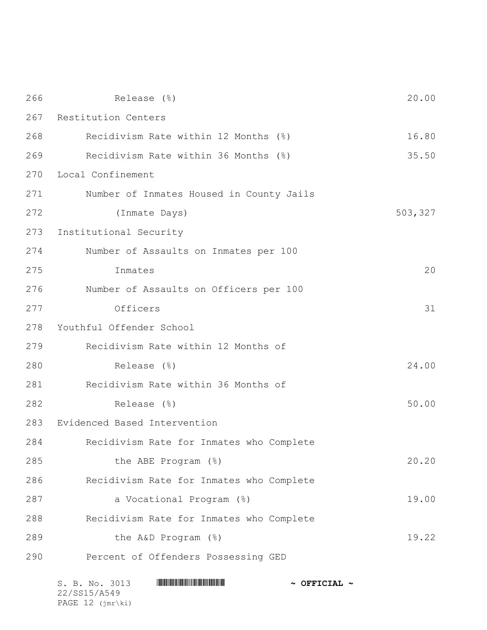| 266 | Release (%)                              | 20.00   |
|-----|------------------------------------------|---------|
| 267 | Restitution Centers                      |         |
| 268 | Recidivism Rate within 12 Months (%)     | 16.80   |
| 269 | Recidivism Rate within 36 Months (%)     | 35.50   |
| 270 | Local Confinement                        |         |
| 271 | Number of Inmates Housed in County Jails |         |
| 272 | (Inmate Days)                            | 503,327 |
| 273 | Institutional Security                   |         |
| 274 | Number of Assaults on Inmates per 100    |         |
| 275 | Inmates                                  | 20      |
| 276 | Number of Assaults on Officers per 100   |         |
| 277 | Officers                                 | 31      |
| 278 | Youthful Offender School                 |         |
| 279 | Recidivism Rate within 12 Months of      |         |
| 280 | Release (%)                              | 24.00   |
| 281 | Recidivism Rate within 36 Months of      |         |
| 282 | Release (%)                              | 50.00   |
| 283 | Evidenced Based Intervention             |         |
| 284 | Recidivism Rate for Inmates who Complete |         |
| 285 | the ABE Program (%)                      | 20.20   |
| 286 | Recidivism Rate for Inmates who Complete |         |
| 287 | a Vocational Program (%)                 | 19.00   |
| 288 | Recidivism Rate for Inmates who Complete |         |
| 289 | the A&D Program (%)                      | 19.22   |
| 290 | Percent of Offenders Possessing GED      |         |
|     |                                          |         |

| S. B. No. 3013              | $\sim$ OFFICIAL $\sim$ |
|-----------------------------|------------------------|
| 22/SS15/A549                |                        |
| PAGE $12$ ( $\text{imr}\$ ) |                        |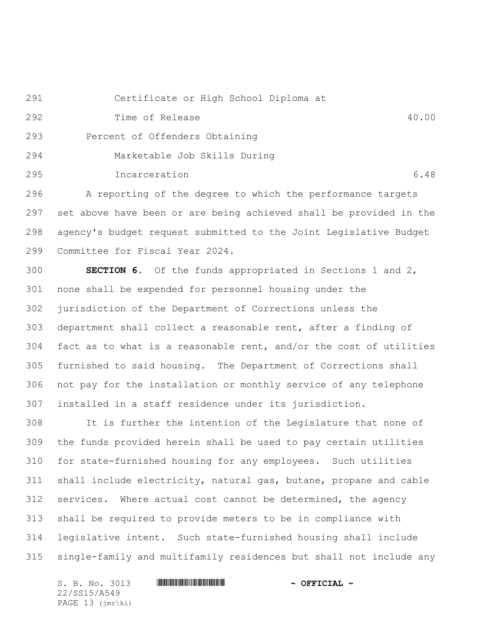Certificate or High School Diploma at

Time of Release 40.00

Percent of Offenders Obtaining

Marketable Job Skills During

Incarceration 6.48

A reporting of the degree to which the performance targets

 set above have been or are being achieved shall be provided in the agency's budget request submitted to the Joint Legislative Budget Committee for Fiscal Year 2024.

 **SECTION 6.** Of the funds appropriated in Sections 1 and 2, none shall be expended for personnel housing under the jurisdiction of the Department of Corrections unless the department shall collect a reasonable rent, after a finding of fact as to what is a reasonable rent, and/or the cost of utilities furnished to said housing. The Department of Corrections shall not pay for the installation or monthly service of any telephone installed in a staff residence under its jurisdiction.

 It is further the intention of the Legislature that none of the funds provided herein shall be used to pay certain utilities for state-furnished housing for any employees. Such utilities shall include electricity, natural gas, butane, propane and cable services. Where actual cost cannot be determined, the agency shall be required to provide meters to be in compliance with legislative intent. Such state-furnished housing shall include single-family and multifamily residences but shall not include any

S. B. No. 3013 \*SS15/A549\* **~ OFFICIAL ~** 22/SS15/A549 PAGE 13 (jmr\ki)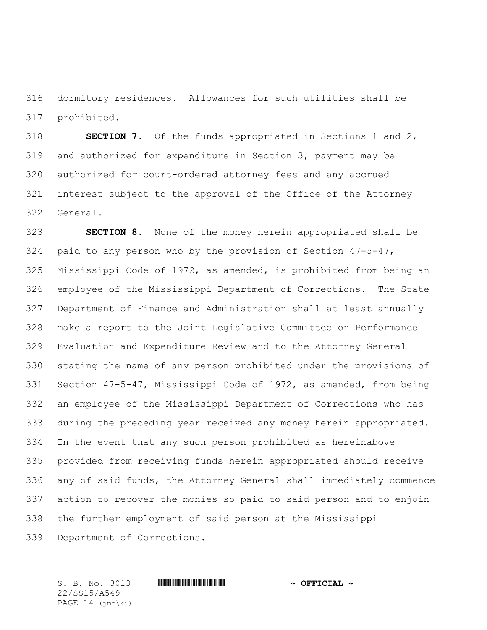dormitory residences. Allowances for such utilities shall be prohibited.

 **SECTION 7.** Of the funds appropriated in Sections 1 and 2, and authorized for expenditure in Section 3, payment may be authorized for court-ordered attorney fees and any accrued interest subject to the approval of the Office of the Attorney General.

 **SECTION 8.** None of the money herein appropriated shall be paid to any person who by the provision of Section 47-5-47, Mississippi Code of 1972, as amended, is prohibited from being an employee of the Mississippi Department of Corrections. The State Department of Finance and Administration shall at least annually make a report to the Joint Legislative Committee on Performance Evaluation and Expenditure Review and to the Attorney General stating the name of any person prohibited under the provisions of Section 47-5-47, Mississippi Code of 1972, as amended, from being an employee of the Mississippi Department of Corrections who has during the preceding year received any money herein appropriated. In the event that any such person prohibited as hereinabove provided from receiving funds herein appropriated should receive any of said funds, the Attorney General shall immediately commence action to recover the monies so paid to said person and to enjoin the further employment of said person at the Mississippi

Department of Corrections.

22/SS15/A549 PAGE 14 (jmr\ki)

S. B. No. 3013 \*SS15/A549\* **~ OFFICIAL ~**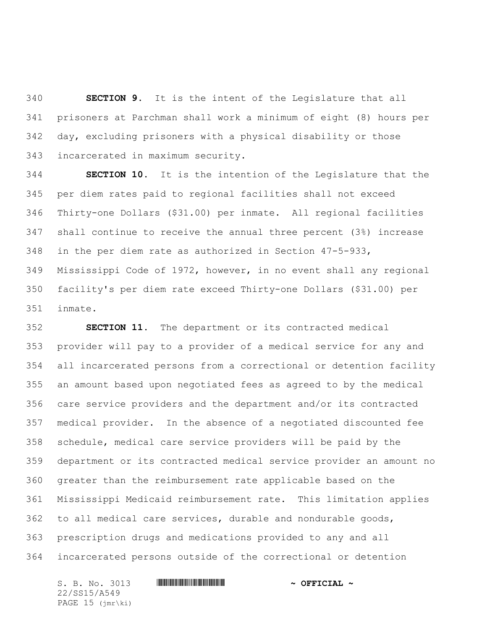**SECTION 9.** It is the intent of the Legislature that all prisoners at Parchman shall work a minimum of eight (8) hours per day, excluding prisoners with a physical disability or those incarcerated in maximum security.

 **SECTION 10.** It is the intention of the Legislature that the per diem rates paid to regional facilities shall not exceed Thirty-one Dollars (\$31.00) per inmate. All regional facilities shall continue to receive the annual three percent (3%) increase in the per diem rate as authorized in Section 47-5-933, Mississippi Code of 1972, however, in no event shall any regional facility's per diem rate exceed Thirty-one Dollars (\$31.00) per inmate.

 **SECTION 11.** The department or its contracted medical provider will pay to a provider of a medical service for any and all incarcerated persons from a correctional or detention facility an amount based upon negotiated fees as agreed to by the medical care service providers and the department and/or its contracted medical provider. In the absence of a negotiated discounted fee schedule, medical care service providers will be paid by the department or its contracted medical service provider an amount no greater than the reimbursement rate applicable based on the Mississippi Medicaid reimbursement rate. This limitation applies to all medical care services, durable and nondurable goods, prescription drugs and medications provided to any and all incarcerated persons outside of the correctional or detention

S. B. No. 3013 \*SS15/A549\* **~ OFFICIAL ~** 22/SS15/A549 PAGE 15 (jmr\ki)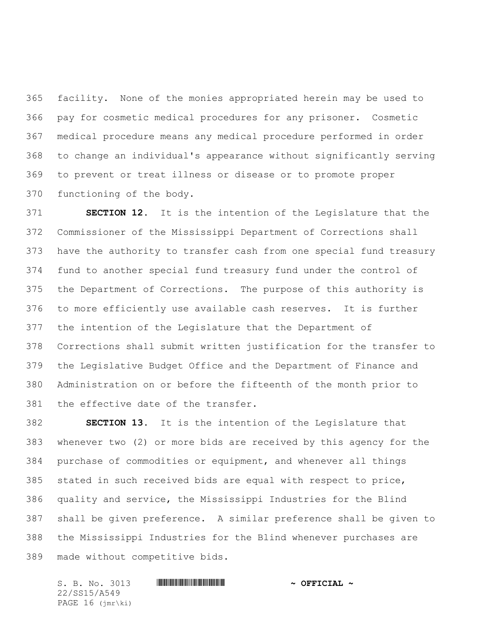facility. None of the monies appropriated herein may be used to pay for cosmetic medical procedures for any prisoner. Cosmetic medical procedure means any medical procedure performed in order to change an individual's appearance without significantly serving to prevent or treat illness or disease or to promote proper functioning of the body.

 **SECTION 12.** It is the intention of the Legislature that the Commissioner of the Mississippi Department of Corrections shall have the authority to transfer cash from one special fund treasury fund to another special fund treasury fund under the control of the Department of Corrections. The purpose of this authority is to more efficiently use available cash reserves. It is further the intention of the Legislature that the Department of Corrections shall submit written justification for the transfer to the Legislative Budget Office and the Department of Finance and Administration on or before the fifteenth of the month prior to the effective date of the transfer.

 **SECTION 13.** It is the intention of the Legislature that whenever two (2) or more bids are received by this agency for the purchase of commodities or equipment, and whenever all things stated in such received bids are equal with respect to price, quality and service, the Mississippi Industries for the Blind shall be given preference. A similar preference shall be given to the Mississippi Industries for the Blind whenever purchases are made without competitive bids.

S. B. No. 3013 \*SS15/A549\* **~ OFFICIAL ~** 22/SS15/A549 PAGE 16 (jmr\ki)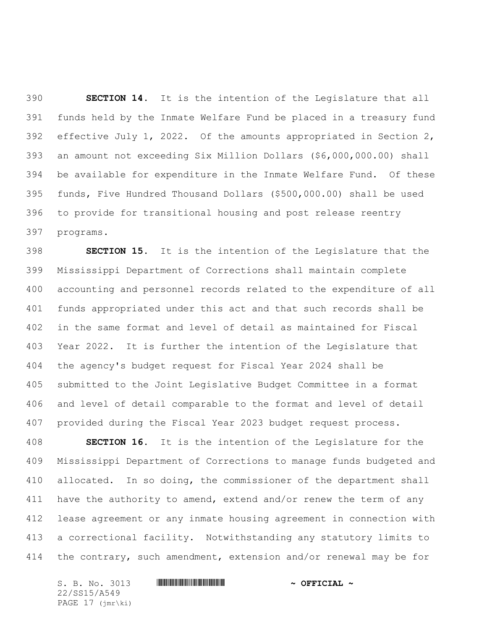**SECTION 14.** It is the intention of the Legislature that all funds held by the Inmate Welfare Fund be placed in a treasury fund effective July 1, 2022. Of the amounts appropriated in Section 2, an amount not exceeding Six Million Dollars (\$6,000,000.00) shall be available for expenditure in the Inmate Welfare Fund. Of these funds, Five Hundred Thousand Dollars (\$500,000.00) shall be used to provide for transitional housing and post release reentry programs.

 **SECTION 15.** It is the intention of the Legislature that the Mississippi Department of Corrections shall maintain complete accounting and personnel records related to the expenditure of all funds appropriated under this act and that such records shall be in the same format and level of detail as maintained for Fiscal Year 2022. It is further the intention of the Legislature that the agency's budget request for Fiscal Year 2024 shall be submitted to the Joint Legislative Budget Committee in a format and level of detail comparable to the format and level of detail provided during the Fiscal Year 2023 budget request process.

 **SECTION 16.** It is the intention of the Legislature for the Mississippi Department of Corrections to manage funds budgeted and 410 allocated. In so doing, the commissioner of the department shall 411 have the authority to amend, extend and/or renew the term of any lease agreement or any inmate housing agreement in connection with a correctional facility. Notwithstanding any statutory limits to the contrary, such amendment, extension and/or renewal may be for

S. B. No. 3013 \*SS15/A549\* **~ OFFICIAL ~** 22/SS15/A549 PAGE 17 (jmr\ki)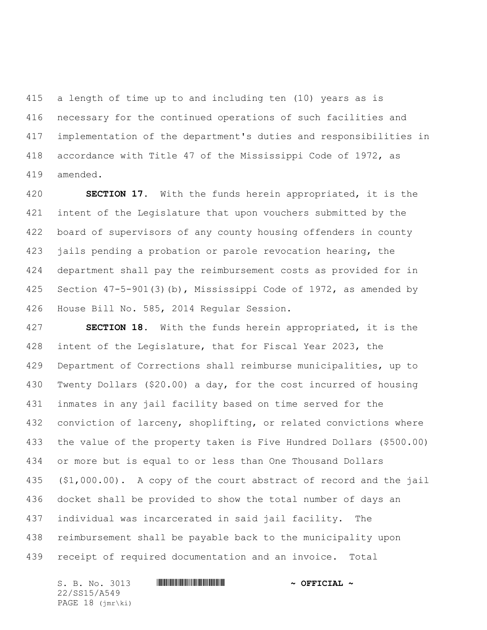a length of time up to and including ten (10) years as is necessary for the continued operations of such facilities and implementation of the department's duties and responsibilities in accordance with Title 47 of the Mississippi Code of 1972, as amended.

 **SECTION 17.** With the funds herein appropriated, it is the intent of the Legislature that upon vouchers submitted by the board of supervisors of any county housing offenders in county jails pending a probation or parole revocation hearing, the department shall pay the reimbursement costs as provided for in Section 47-5-901(3)(b), Mississippi Code of 1972, as amended by House Bill No. 585, 2014 Regular Session.

 **SECTION 18.** With the funds herein appropriated, it is the intent of the Legislature, that for Fiscal Year 2023, the Department of Corrections shall reimburse municipalities, up to Twenty Dollars (\$20.00) a day, for the cost incurred of housing inmates in any jail facility based on time served for the conviction of larceny, shoplifting, or related convictions where the value of the property taken is Five Hundred Dollars (\$500.00) or more but is equal to or less than One Thousand Dollars (\$1,000.00). A copy of the court abstract of record and the jail docket shall be provided to show the total number of days an individual was incarcerated in said jail facility. The reimbursement shall be payable back to the municipality upon receipt of required documentation and an invoice. Total

S. B. No. 3013 \*SS15/A549\* **~ OFFICIAL ~** 22/SS15/A549 PAGE 18 (jmr\ki)